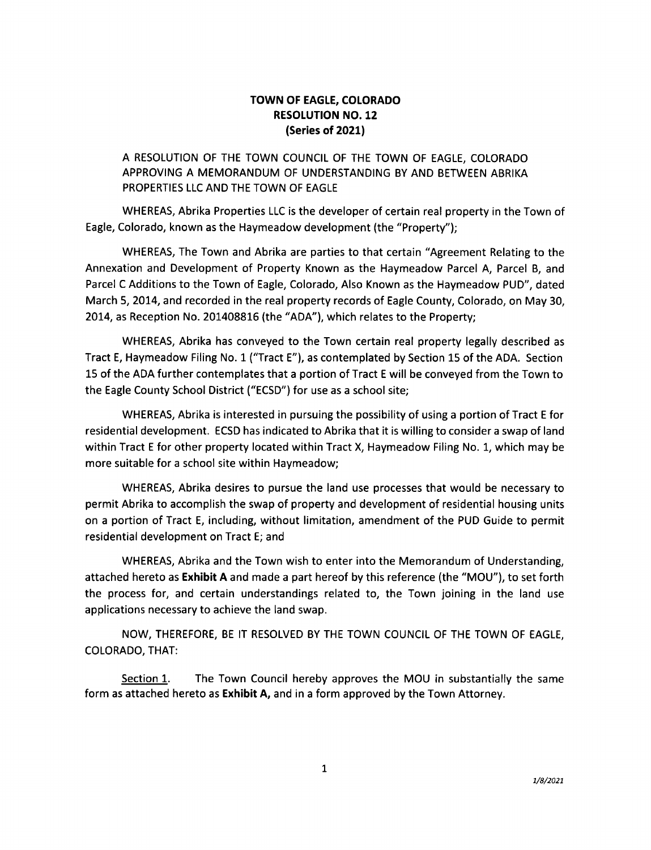### **TOWN OF EAGLE, COLORADO RESOLUTION NO. 12 (Series of 2021)**

## A RESOLUTION OF THE TOWN COUNCIL OF THE TOWN OF EAGLE, COLORADO APPROVING A MEMORANDUM OF UNDERSTANDING BY AND BETWEEN ABRIKA PROPERTIES LLC AND THE TOWN OF EAGLE

WHEREAS, Abrika Properties LLC is the developer of certain real property in the Town of Eagle, Colorado, known as the Haymeadow development (the "Property");

WHEREAS, The Town and Abrika are parties to that certain "Agreement Relating to the Annexation and Development of Property Known as the Haymeadow Parcel A, Parcel B, and Parcel C Additions to the Town of Eagle, Colorado, Also Known as the Haymeadow PUD", dated March 5, 2014, and recorded in the real property records of Eagle County, Colorado, on May 30, 2014, as Reception No. 201408816 (the "ADA"), which relates to the Property;

WHEREAS, Abrika has conveyed to the Town certain real property legally described as Tract E, Haymeadow Filing No. 1 ("Tract E"), as contemplated by Section 15 of the ADA. Section 15 of the ADA further contemplates that a portion of Tract E will be conveyed from the Town to the Eagle County School District ("ECSD") for use as a school site;

WHEREAS, Abrika is interested in pursuing the possibility of using a portion of Tract E for residential development. ECSD has indicated to Abrika that it is willing to consider a swap of land within Tract E for other property located within Tract X, Haymeadow Filing No. 1, which may be more suitable for a school site within Haymeadow;

WHEREAS, Abrika desires to pursue the land use processes that would be necessary to permit Abrika to accomplish the swap of property and development of residential housing units on a portion of Tract E, including, without limitation, amendment of the PUD Guide to permit residential development on Tract E; and

WHEREAS, Abrika and the Town wish to enter into the Memorandum of Understanding, attached hereto as **Exhibit A** and made a part hereof by this reference (the "MOU"), to set forth the process for, and certain understandings related to, the Town joining in the land use applications necessary to achieve the land swap.

NOW, THEREFORE, BE IT RESOLVED BY THE TOWN COUNCIL OF THE TOWN OF EAGLE, COLORADO, THAT:

Section 1. The Town Council hereby approves the MOU in substantially the same form as attached hereto as **Exhibit A,** and in a form approved by the Town Attorney.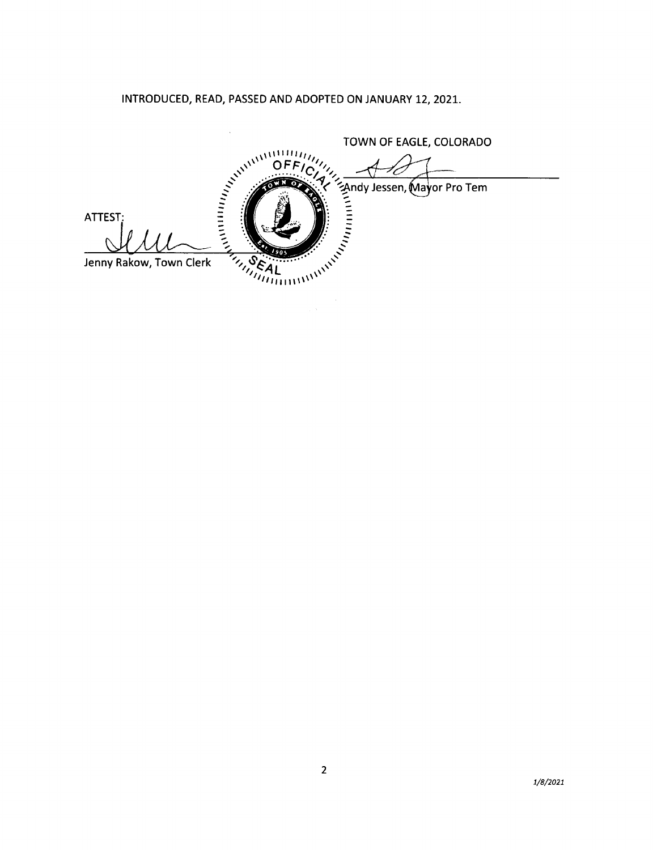INTRODUCED, READ, PASSED AND ADOPTED ON JANUARY 12, 2021.

TOWN OF EAGLE, COLORADO TOWN OF EAGLE, COLORADO ATTEST: Jenny Rakow, Town Clerk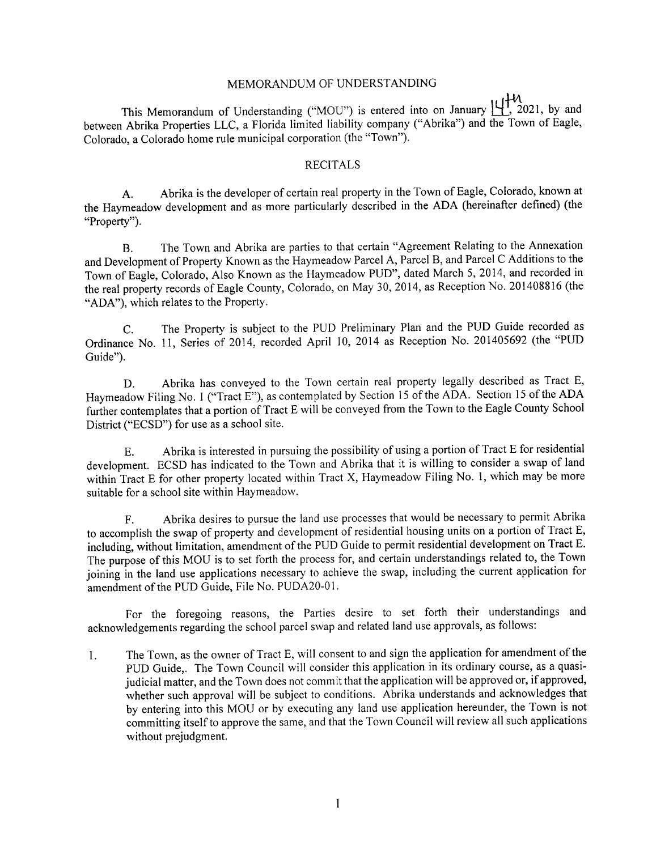#### MEMORANDUM OF UNDERSTANDING

This Memorandum of Understanding ("MOU") is entered into on January  $\mathop{\bigcup}\limits_{n=1}^{\infty} \mathcal{H}$  2021, by and between Abrika Properties LLC, a Florida limited liability company ("Abrika") and the Town of Eagle, Colorado, a Colorado home rule municipal corporation (the "Town").

#### RECITALS

A. Abrika is the developer of certain real property in the Town of Eagle, Colorado, known at the Haymeadow development and as more particularly described in the ADA (hereinafter defined) (the "Property").

B. The Town and Abrika are parties to that certain "Agreement Relating to the Annexation and Development of Property Known as the Haymeadow Parcel A, Parcel B, and Parcel C Additions to the Town of Eagle, Colorado, Also Known as the Haymeadow PUD", dated March 5, 2014, and recorded in the real property records of Eagle County, Colorado, on May 30, 2014, as Reception No. 201408816 (the "ADA"), which relates to the Property.

C. The Property is subject to the PUD Preliminary Plan and the PUD Guide recorded as Ordinance No. 11, Series of 2014, recorded April 10, 2014 as Reception No. 201405692 (the "PUD Guide").

D. Abrika has conveyed to the Town certain real property legally described as Tract E, Haymeadow Filing No. 1 ("Tract E"), as contemplated by Section 15 of the ADA. Section 15 of the ADA further contemplates that a portion of Tract E will be conveyed from the Town to the Eagle County School District ("ECSD") for use as a school site.

E. Abrika is interested in pursuing the possibility of using a portion of Tract E for residential development. ECSD has indicated to the Town and Abrika that it is willing to consider a swap of land within Tract E for other property located within Tract X, Haymeadow Filing No. 1, which may be more suitable for a school site within Haymeadow.

F. Abrika desires to pursue the land use processes that would be necessary to permit Abrika to accomplish the swap of property and development of residential housing units on a portion of Tract E, including, without limitation, amendment of the PUD Guide to permit residential development on Tract E. The purpose of this MOU is to set forth the process for, and certain understandings related to, the Town joining in the land use applications necessary to achieve the swap, including the current application for amendment of the PUD Guide, File No. PUDA20-01.

For the foregoing reasons, the Parties desire to set forth their understandings and acknowledgements regarding the school parcel swap and related land use approvals, as follows:

1. The Town, as the owner of Tract E, will consent to and sign the application for amendment of the PUD Guide,. The Town Council will consider this application in its ordinary course, as a quasijudicial matter, and the Town does not commit that the application will be approved or, if approved, whether such approval will be subject to conditions. Abrika understands and acknowledges that by entering into this MOU or by executing any land use application hereunder, the Town is not committing itself to approve the same, and that the Town Council will review all such applications without prejudgment.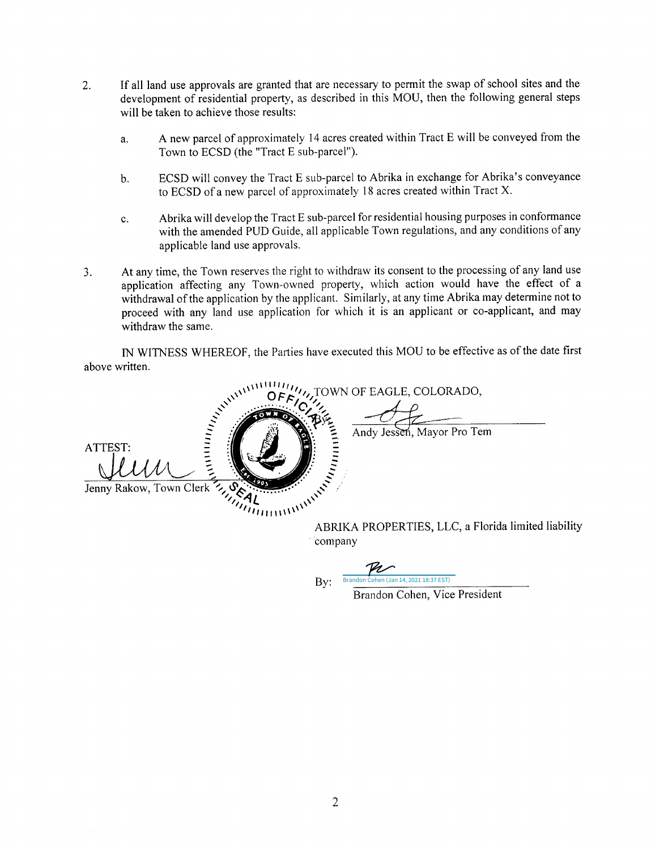- 2. If all land use approvals are granted that are necessary to permit the swap of school sites and the development of residential property, as described in this MOU, then the following general steps will be taken to achieve those results:
	- a. A new parcel of approximately 14 acres created within Tract E will be conveyed from the Town to ECSD (the "Tract E sub-parcel").
	- b. ECSD will convey the Tract E sub-parcel to Abrika in exchange for Abrika's conveyance to ECSD of a new parcel of approximately 18 acres created within Tract X.
	- c. Abrika will develop the Tract E sub-parcel for residential housing purposes in conformance with the amended PUD Guide, all applicable Town regulations, and any conditions of any applicable land use approvals.
- 3. At any time, the Town reserves the right to withdraw its consent to the processing of any land use application affecting any Town-owned property, which action would have the effect of <sup>a</sup> withdrawal of the application by the applicant. Similarly, at any time Abrika may determine not to proceed with any land use application for which it is an applicant or co-applicant, and may withdraw the same.

IN WITNESS WHEREOF, the Parties have executed this MOU to be effective as of the date first above written.

\\I II I I/// ,,,,,,,,, *... <?~,::)i*11*{0WN* OF~EAGLE, COLORADO,  $\frac{1}{2}$  ...  $\frac{1}{2}$  ...  $\frac{1}{2}$  ...  $\frac{1}{2}$  ...  $\frac{1}{2}$  ...  $\frac{1}{2}$  ...  $\frac{1}{2}$  ...  $\frac{1}{2}$  ...  $\frac{1}{2}$  ...  $\frac{1}{2}$  ...  $\frac{1}{2}$  ...  $\frac{1}{2}$  ...  $\frac{1}{2}$  ...  $\frac{1}{2}$  ...  $\frac{1}{2}$  ... **ATTEST ...**<br>Jenny Rakow, Town Clerk 7, 0 2 1 ABRIKA PROPERTIES, LLC, a Florida limited liability company

**By:** [Brandon Cohen \(Jan 14, 2021 18:37 EST\)](https://na2.documents.adobe.com/verifier?tx=CBJCHBCAABAAIUUWKXlsA98BG9dPCNhChfBvxPqXtf3P)

Brandon Cohen, Vice President